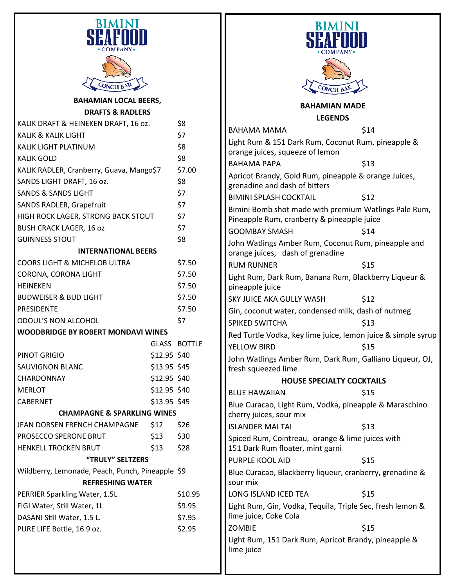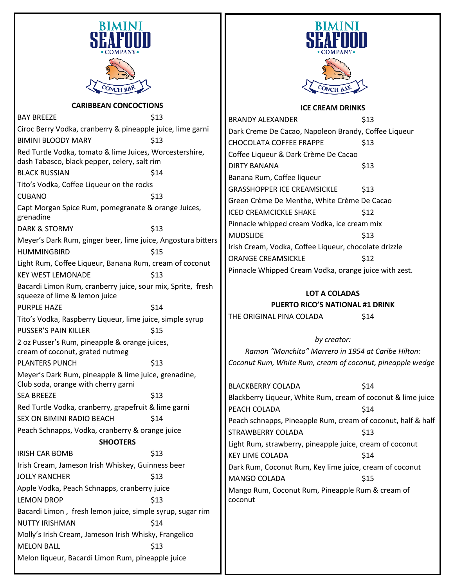

## **CARIBBEAN CONCOCTIONS**

BAY BREEZE \$13 Ciroc Berry Vodka, cranberry & pineapple juice, lime garni BIMINI BLOODY MARY \$13 Red Turtle Vodka, tomato & lime Juices, Worcestershire, dash Tabasco, black pepper, celery, salt rim BLACK RUSSIAN \$14 Tito's Vodka, Coffee Liqueur on the rocks CUBANO \$13 Capt Morgan Spice Rum, pomegranate & orange Juices, grenadine DARK & STORMY \$13 Meyer's Dark Rum, ginger beer, lime juice, Angostura bitters HUMMINGBIRD \$15 Light Rum, Coffee Liqueur, Banana Rum, cream of coconut KEY WEST LEMONADE \$13 Bacardi Limon Rum, cranberry juice, sour mix, Sprite, fresh squeeze of lime & lemon juice PURPLE HAZE \$14 Tito's Vodka, Raspberry Liqueur, lime juice, simple syrup PUSSER'S PAIN KILLER \$15 2 oz Pusser's Rum, pineapple & orange juices, cream of coconut, grated nutmeg PLANTERS PUNCH \$13 Meyer's Dark Rum, pineapple & lime juice, grenadine, Club soda, orange with cherry garni SEA BREEZE \$13 Red Turtle Vodka, cranberry, grapefruit & lime garni SEX ON BIMINI RADIO BEACH \$14 Peach Schnapps, Vodka, cranberry & orange juice **SHOOTERS** IRISH CAR BOMB \$13 Irish Cream, Jameson Irish Whiskey, Guinness beer JOLLY RANCHER
513 Apple Vodka, Peach Schnapps, cranberry juice LEMON DROP \$13 Bacardi Limon , fresh lemon juice, simple syrup, sugar rim NUTTY IRISHMAN \$14 Molly's Irish Cream, Jameson Irish Whisky, Frangelico MELON BALL \$13 Melon liqueur, Bacardi Limon Rum, pineapple juice



## **ICE CREAM DRINKS**

BRANDY ALEXANDER \$13 Dark Creme De Cacao, Napoleon Brandy, Coffee Liqueur CHOCOLATA COFFEE FRAPPE \$13 Coffee Liqueur & Dark Crème De Cacao DIRTY BANANA \$13 Banana Rum, Coffee liqueur GRASSHOPPER ICE CREAMSICKLE \$13 Green Crème De Menthe, White Crème De Cacao ICED CREAMCICKLE SHAKE \$12 Pinnacle whipped cream Vodka, ice cream mix MUDSLIDE \$13 Irish Cream, Vodka, Coffee Liqueur, chocolate drizzle ORANGE CREAMSICKLE \$12 Pinnacle Whipped Cream Vodka, orange juice with zest.

## **LOT A COLADAS**

**PUERTO RICO'S NATIONAL #1 DRINK** 

THE ORIGINAL PINA COLADA \$14

*by creator: Ramon "Monchito" Marrero in 1954 at Caribe Hilton: Coconut Rum, White Rum, cream of coconut, pineapple wedge*

BLACKBERRY COLADA \$14 Blackberry Liqueur, White Rum, cream of coconut & lime juice PEACH COLADA **\$14** Peach schnapps, Pineapple Rum, cream of coconut, half & half STRAWBERRY COLADA \$13 Light Rum, strawberry, pineapple juice, cream of coconut KEY LIME COLADA \$14 Dark Rum, Coconut Rum, Key lime juice, cream of coconut MANGO COLADA **\$15** Mango Rum, Coconut Rum, Pineapple Rum & cream of coconut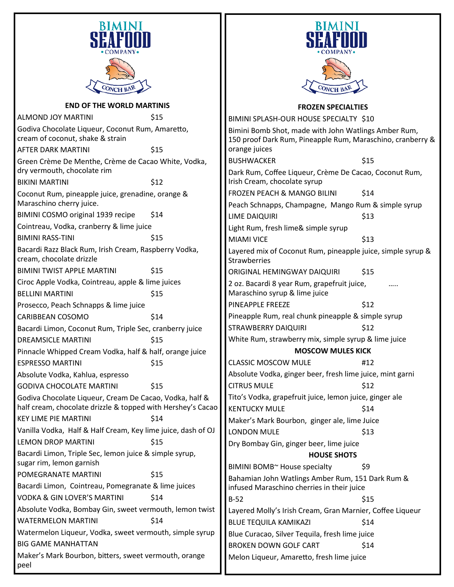